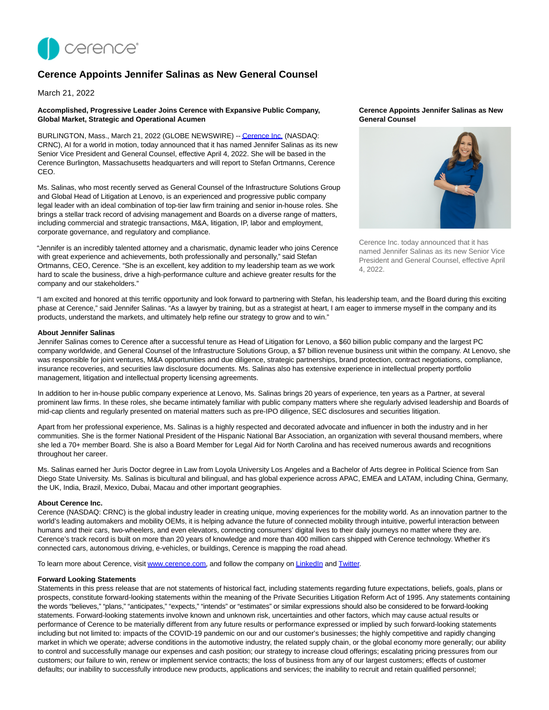

# **Cerence Appoints Jennifer Salinas as New General Counsel**

March 21, 2022

## **Accomplished, Progressive Leader Joins Cerence with Expansive Public Company, Global Market, Strategic and Operational Acumen**

BURLINGTON, Mass., March 21, 2022 (GLOBE NEWSWIRE) -[- Cerence Inc. \(](https://www.globenewswire.com/Tracker?data=0iCY-g0F-AUj6cZzY_PCHDC_YKfqd9cDlAQwQJvJrgihp9XRCbGPD0dlm2jhbzsUYE3QM_6pIreWbZHG_c4NLA==)NASDAQ: CRNC), AI for a world in motion, today announced that it has named Jennifer Salinas as its new Senior Vice President and General Counsel, effective April 4, 2022. She will be based in the Cerence Burlington, Massachusetts headquarters and will report to Stefan Ortmanns, Cerence CEO.

Ms. Salinas, who most recently served as General Counsel of the Infrastructure Solutions Group and Global Head of Litigation at Lenovo, is an experienced and progressive public company legal leader with an ideal combination of top-tier law firm training and senior in-house roles. She brings a stellar track record of advising management and Boards on a diverse range of matters, including commercial and strategic transactions, M&A, litigation, IP, labor and employment, corporate governance, and regulatory and compliance.

"Jennifer is an incredibly talented attorney and a charismatic, dynamic leader who joins Cerence with great experience and achievements, both professionally and personally," said Stefan Ortmanns, CEO, Cerence. "She is an excellent, key addition to my leadership team as we work hard to scale the business, drive a high-performance culture and achieve greater results for the company and our stakeholders."

## **Cerence Appoints Jennifer Salinas as New General Counsel**



Cerence Inc. today announced that it has named Jennifer Salinas as its new Senior Vice President and General Counsel, effective April 4, 2022.

"I am excited and honored at this terrific opportunity and look forward to partnering with Stefan, his leadership team, and the Board during this exciting phase at Cerence," said Jennifer Salinas. "As a lawyer by training, but as a strategist at heart, I am eager to immerse myself in the company and its products, understand the markets, and ultimately help refine our strategy to grow and to win."

## **About Jennifer Salinas**

Jennifer Salinas comes to Cerence after a successful tenure as Head of Litigation for Lenovo, a \$60 billion public company and the largest PC company worldwide, and General Counsel of the Infrastructure Solutions Group, a \$7 billion revenue business unit within the company. At Lenovo, she was responsible for joint ventures, M&A opportunities and due diligence, strategic partnerships, brand protection, contract negotiations, compliance, insurance recoveries, and securities law disclosure documents. Ms. Salinas also has extensive experience in intellectual property portfolio management, litigation and intellectual property licensing agreements.

In addition to her in-house public company experience at Lenovo, Ms. Salinas brings 20 years of experience, ten years as a Partner, at several prominent law firms. In these roles, she became intimately familiar with public company matters where she regularly advised leadership and Boards of mid-cap clients and regularly presented on material matters such as pre-IPO diligence, SEC disclosures and securities litigation.

Apart from her professional experience, Ms. Salinas is a highly respected and decorated advocate and influencer in both the industry and in her communities. She is the former National President of the Hispanic National Bar Association, an organization with several thousand members, where she led a 70+ member Board. She is also a Board Member for Legal Aid for North Carolina and has received numerous awards and recognitions throughout her career.

Ms. Salinas earned her Juris Doctor degree in Law from Loyola University Los Angeles and a Bachelor of Arts degree in Political Science from San Diego State University. Ms. Salinas is bicultural and bilingual, and has global experience across APAC, EMEA and LATAM, including China, Germany, the UK, India, Brazil, Mexico, Dubai, Macau and other important geographies.

#### **About Cerence Inc.**

Cerence (NASDAQ: CRNC) is the global industry leader in creating unique, moving experiences for the mobility world. As an innovation partner to the world's leading automakers and mobility OEMs, it is helping advance the future of connected mobility through intuitive, powerful interaction between humans and their cars, two-wheelers, and even elevators, connecting consumers' digital lives to their daily journeys no matter where they are. Cerence's track record is built on more than 20 years of knowledge and more than 400 million cars shipped with Cerence technology. Whether it's connected cars, autonomous driving, e-vehicles, or buildings, Cerence is mapping the road ahead.

To learn more about Cerence, visit [www.cerence.com,](https://www.globenewswire.com/Tracker?data=s0gr7qvV1wgSHZ4ScX0lazY0-8_TNjcLew8888a4b4jdNffXm11T1fgRlt3uxxcbHqq0UhWvJ4UsUil6DOqUtw==) and follow the company o[n LinkedIn a](https://www.globenewswire.com/Tracker?data=NRuwWkj5rXmMcWYmjjsdOxirtS5Ht-4dMeJsHBp_OgaSwuL4NPinxzm0fuzslVvBjw49EGqbVxSudeDUDUkA7WkWsEml8q208pmXi2O2LOo=)nd [Twitter.](https://www.globenewswire.com/Tracker?data=T_Ax1XK5U1f4fOLaa7rMbXI9CZ9ATtPYh_WAjV9XuzDtqpedA50mCiEFUkqfDz9tanC3firz2hrwaV6wIVaECw==)

#### **Forward Looking Statements**

Statements in this press release that are not statements of historical fact, including statements regarding future expectations, beliefs, goals, plans or prospects, constitute forward-looking statements within the meaning of the Private Securities Litigation Reform Act of 1995. Any statements containing the words "believes," "plans," "anticipates," "expects," "intends" or "estimates" or similar expressions should also be considered to be forward-looking statements. Forward-looking statements involve known and unknown risk, uncertainties and other factors, which may cause actual results or performance of Cerence to be materially different from any future results or performance expressed or implied by such forward-looking statements including but not limited to: impacts of the COVID-19 pandemic on our and our customer's businesses; the highly competitive and rapidly changing market in which we operate; adverse conditions in the automotive industry, the related supply chain, or the global economy more generally; our ability to control and successfully manage our expenses and cash position; our strategy to increase cloud offerings; escalating pricing pressures from our customers; our failure to win, renew or implement service contracts; the loss of business from any of our largest customers; effects of customer defaults; our inability to successfully introduce new products, applications and services; the inability to recruit and retain qualified personnel;